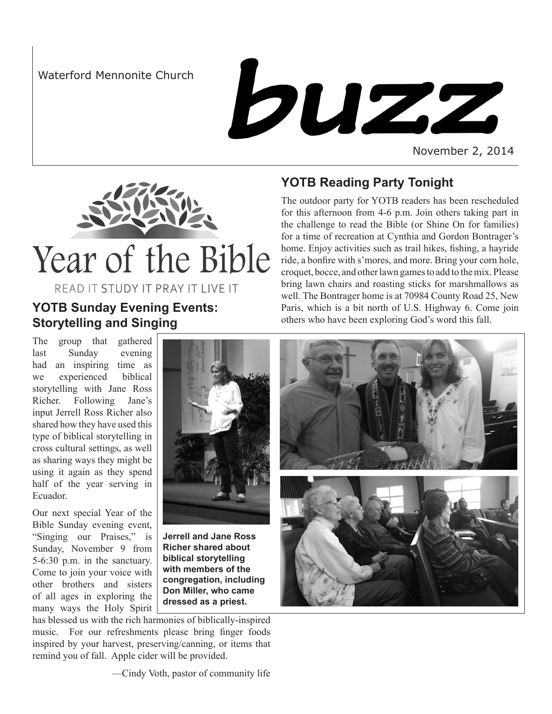Waterford Mennonite Church



November 2, 2014



READ IT STUDY IT PRAY IT LIVE IT

## **YOTB Reading Party Tonight** The outdoor party for YOTB readers has been rescheduled

for this afternoon from 4-6 p.m. Join others taking part in the challenge to read the Bible (or Shine On for families) for a time of recreation at Cynthia and Gordon Bontrager's home. Enjoy activities such as trail hikes, fishing, a hayride ride, a bonfire with s'mores, and more. Bring your corn hole, croquet, bocce, and other lawn games to add to the mix. Please bring lawn chairs and roasting sticks for marshmallows as well. The Bontrager home is at 70984 County Road 25, New Paris, which is a bit north of U.S. Highway 6. Come join others who have been exploring God's word this fall.

# **YOTB Sunday Evening Events: Storytelling and Singing**

The group that gathered last Sunday evening had an inspiring time as we experienced biblical storytelling with Jane Ross Richer. Following Jane's input Jerrell Ross Richer also shared how they have used this type of biblical storytelling in cross cultural settings, as well as sharing ways they might be using it again as they spend half of the year serving in Ecuador.

Our next special Year of the Bible Sunday evening event, "Singing our Praises," is Sunday, November 9 from 5-6:30 p.m. in the sanctuary. Come to join your voice with other brothers and sisters of all ages in exploring the many ways the Holy Spirit



**Jerrell and Jane Ross Richer shared about biblical storytelling with members of the congregation, including Don Miller, who came dressed as a priest.**

has blessed us with the rich harmonies of biblically-inspired music. For our refreshments please bring finger foods inspired by your harvest, preserving/canning, or items that remind you of fall. Apple cider will be provided.



—Cindy Voth, pastor of community life